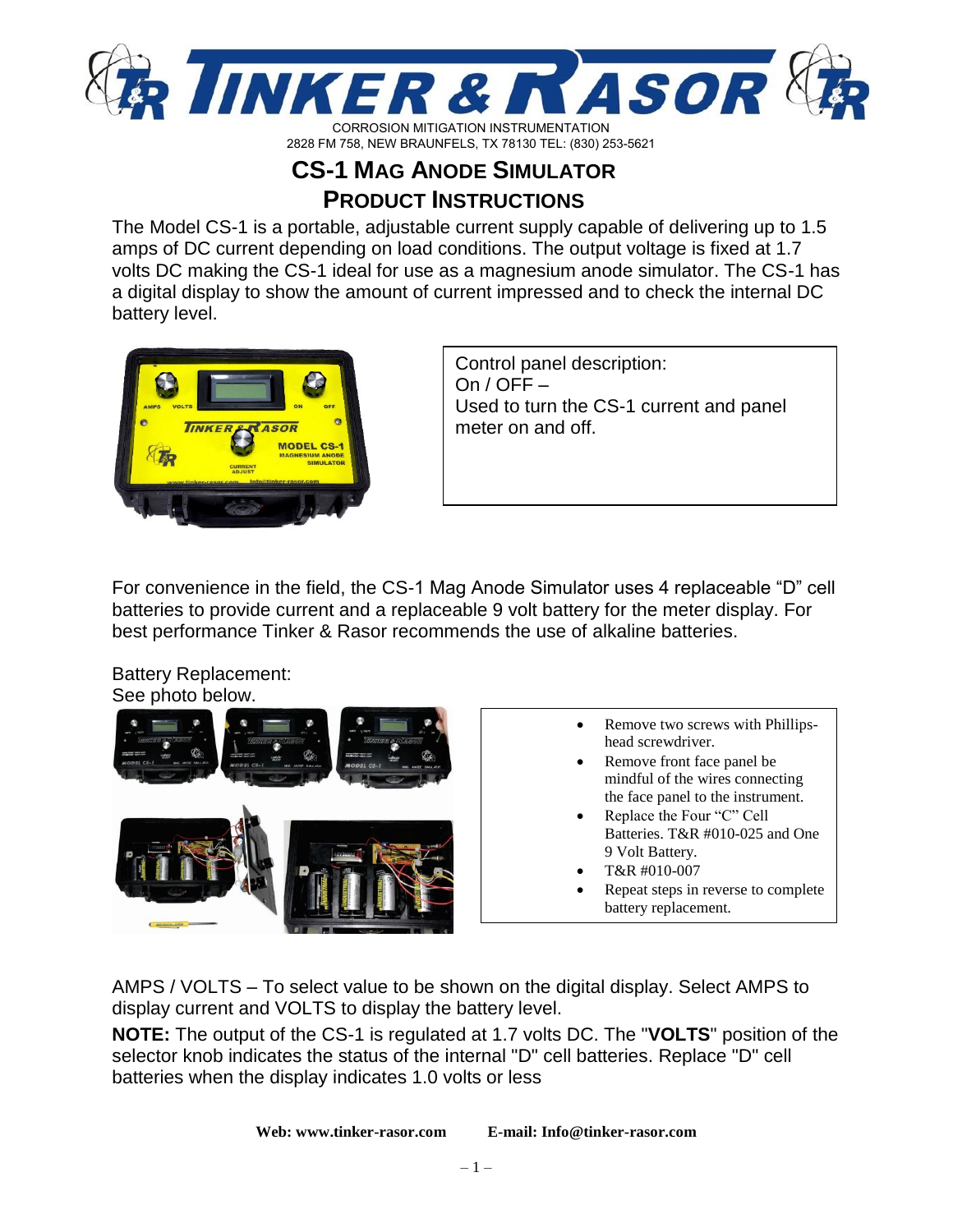

2828 FM 758, NEW BRAUNFELS, TX 78130 TEL: (830) 253-5621

# **CS-1 MAG ANODE SIMULATOR PRODUCT INSTRUCTIONS**

The Model CS-1 is a portable, adjustable current supply capable of delivering up to 1.5 amps of DC current depending on load conditions. The output voltage is fixed at 1.7 volts DC making the CS-1 ideal for use as a magnesium anode simulator. The CS-1 has a digital display to show the amount of current impressed and to check the internal DC battery level.



Control panel description: On  $/$  OFF  $-$ Used to turn the CS-1 current and panel meter on and off.

For convenience in the field, the CS-1 Mag Anode Simulator uses 4 replaceable "D" cell batteries to provide current and a replaceable 9 volt battery for the meter display. For best performance Tinker & Rasor recommends the use of alkaline batteries.

Battery Replacement:



- Remove two screws with Phillipshead screwdriver.
- Remove front face panel be mindful of the wires connecting the face panel to the instrument.
- Replace the Four "C" Cell Batteries. T&R #010-025 and One 9 Volt Battery.
- T&R #010-007
- Repeat steps in reverse to complete battery replacement.

AMPS / VOLTS – To select value to be shown on the digital display. Select AMPS to display current and VOLTS to display the battery level.

**NOTE:** The output of the CS-1 is regulated at 1.7 volts DC. The "**VOLTS**" position of the selector knob indicates the status of the internal "D" cell batteries. Replace "D" cell batteries when the display indicates 1.0 volts or less